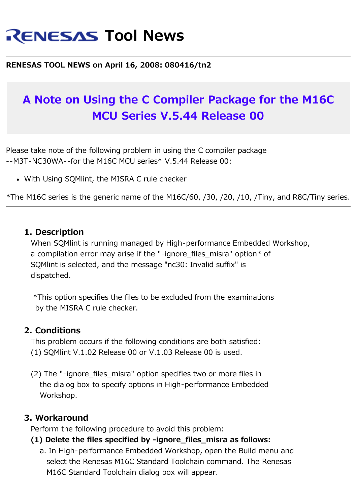# **RENESAS Tool News**

#### **RENESAS TOOL NEWS on April 16, 2008: 080416/tn2**

## **A Note on Using the C Compiler Package for the M16C MCU Series V.5.44 Release 00**

Please take note of the following problem in using the C compiler package --M3T-NC30WA--for the M16C MCU series\* V.5.44 Release 00:

• With Using SQMInt, the MISRA C rule checker

\*The M16C series is the generic name of the M16C/60, /30, /20, /10, /Tiny, and R8C/Tiny series.

#### **1. Description**

 When SQMlint is running managed by High-performance Embedded Workshop, a compilation error may arise if the "-ignore\_files\_misra" option\* of SQMlint is selected, and the message "nc30: Invalid suffix" is dispatched.

 \*This option specifies the files to be excluded from the examinations by the MISRA C rule checker.

#### **2. Conditions**

 This problem occurs if the following conditions are both satisfied: (1) SQMlint V.1.02 Release 00 or V.1.03 Release 00 is used.

(2) The "-ignore files misra" option specifies two or more files in the dialog box to specify options in High-performance Embedded Workshop.

#### **3. Workaround**

Perform the following procedure to avoid this problem:

#### **(1) Delete the files specified by -ignore\_files\_misra as follows:**

 a. In High-performance Embedded Workshop, open the Build menu and select the Renesas M16C Standard Toolchain command. The Renesas M16C Standard Toolchain dialog box will appear.